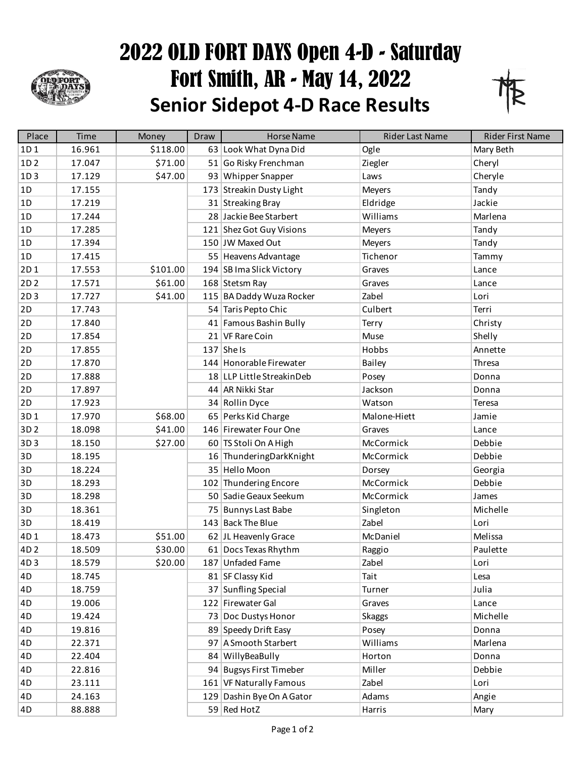

## 2022 OLD FORT DAYS Open 4-D - Saturday Fort Smith, AR - May 14, 2022 **Senior Sidepot 4-D Race Results**



| Place           | Time   | Money    | Draw | <b>Horse Name</b>         | Rider Last Name | Rider First Name |
|-----------------|--------|----------|------|---------------------------|-----------------|------------------|
| 1D1             | 16.961 | \$118.00 |      | 63 Look What Dyna Did     | Ogle            | Mary Beth        |
| 1D <sub>2</sub> | 17.047 | \$71.00  |      | 51 Go Risky Frenchman     | Ziegler         | Cheryl           |
| 1D3             | 17.129 | \$47.00  |      | 93 Whipper Snapper        | Laws            | Cheryle          |
| 1D              | 17.155 |          |      | 173 Streakin Dusty Light  | <b>Meyers</b>   | Tandy            |
| 1D              | 17.219 |          |      | 31 Streaking Bray         | Eldridge        | Jackie           |
| 1D              | 17.244 |          |      | 28 Jackie Bee Starbert    | Williams        | Marlena          |
| 1D              | 17.285 |          |      | 121 Shez Got Guy Visions  | Meyers          | Tandy            |
| 1D              | 17.394 |          |      | 150 JW Maxed Out          | Meyers          | Tandy            |
| 1D              | 17.415 |          |      | 55 Heavens Advantage      | Tichenor        | Tammy            |
| 2D1             | 17.553 | \$101.00 |      | 194 SB Ima Slick Victory  | Graves          | Lance            |
| 2D <sub>2</sub> | 17.571 | \$61.00  |      | 168 Stetsm Ray            | Graves          | Lance            |
| 2D3             | 17.727 | \$41.00  |      | 115 BA Daddy Wuza Rocker  | Zabel           | Lori             |
| 2D              | 17.743 |          |      | 54 Taris Pepto Chic       | Culbert         | Terri            |
| 2D              | 17.840 |          |      | 41 Famous Bashin Bully    | Terry           | Christy          |
| 2D              | 17.854 |          |      | 21 VF Rare Coin           | Muse            | Shelly           |
| 2D              | 17.855 |          |      | $137$ She Is              | Hobbs           | Annette          |
| 2D              | 17.870 |          |      | 144 Honorable Firewater   | Bailey          | Thresa           |
| 2D              | 17.888 |          |      | 18 LLP Little StreakinDeb | Posey           | Donna            |
| 2D              | 17.897 |          |      | 44 AR Nikki Star          | Jackson         | Donna            |
| 2D              | 17.923 |          |      | 34 Rollin Dyce            | Watson          | Teresa           |
| 3D1             | 17.970 | \$68.00  |      | 65 Perks Kid Charge       | Malone-Hiett    | Jamie            |
| 3D <sub>2</sub> | 18.098 | \$41.00  |      | 146 Firewater Four One    | Graves          | Lance            |
| 3D3             | 18.150 | \$27.00  |      | 60 TS Stoli On A High     | McCormick       | Debbie           |
| 3D              | 18.195 |          |      | 16 ThunderingDarkKnight   | McCormick       | Debbie           |
| 3D              | 18.224 |          |      | 35 Hello Moon             | Dorsey          | Georgia          |
| 3D              | 18.293 |          |      | 102 Thundering Encore     | McCormick       | Debbie           |
| 3D              | 18.298 |          |      | 50 Sadie Geaux Seekum     | McCormick       | James            |
| 3D              | 18.361 |          |      | 75 Bunnys Last Babe       | Singleton       | Michelle         |
| 3D              | 18.419 |          |      | 143 Back The Blue         | Zabel           | Lori             |
| 4D1             | 18.473 | \$51.00  |      | 62 JL Heavenly Grace      | McDaniel        | Melissa          |
| 4D <sub>2</sub> | 18.509 | \$30.00  |      | 61 Docs Texas Rhythm      | Raggio          | Paulette         |
| 4D3             | 18.579 | \$20.00  |      | 187 Unfaded Fame          | Zabel           | Lori             |
| 4D              | 18.745 |          |      | 81 SF Classy Kid          | Tait            | Lesa             |
| 4D              | 18.759 |          |      | 37 Sunfling Special       | Turner          | Julia            |
| 4D              | 19.006 |          |      | 122 Firewater Gal         | Graves          | Lance            |
| 4D              | 19.424 |          |      | 73 Doc Dustys Honor       | <b>Skaggs</b>   | Michelle         |
| 4D              | 19.816 |          |      | 89 Speedy Drift Easy      | Posey           | Donna            |
| 4D              | 22.371 |          |      | 97 A Smooth Starbert      | Williams        | Marlena          |
| 4D              | 22.404 |          |      | 84 WillyBeaBully          | Horton          | Donna            |
| 4D              | 22.816 |          |      | 94 Bugsys First Timeber   | Miller          | Debbie           |
| 4D              | 23.111 |          |      | 161 VF Naturally Famous   | Zabel           | Lori             |
| 4D              | 24.163 |          |      | 129 Dashin Bye On A Gator | Adams           | Angie            |
| 4D              | 88.888 |          |      | 59 Red HotZ               | Harris          | Mary             |